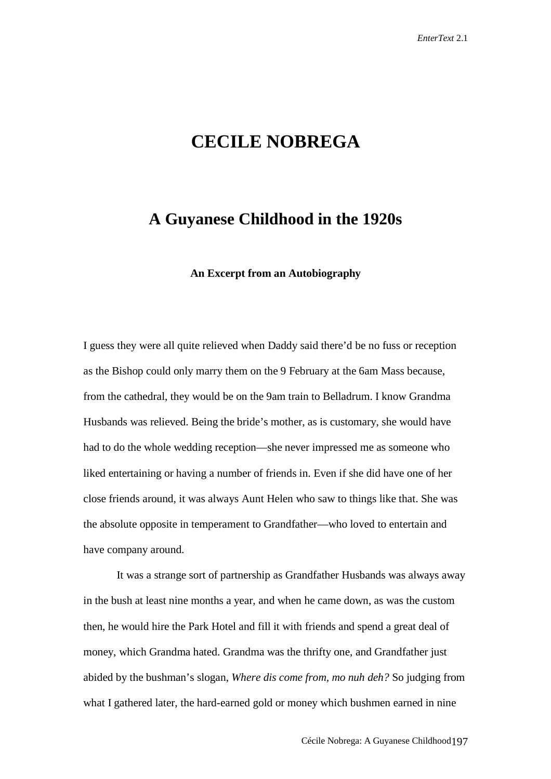## **CECILE NOBREGA**

## **A Guyanese Childhood in the 1920s**

**An Excerpt from an Autobiography**

I guess they were all quite relieved when Daddy said there'd be no fuss or reception as the Bishop could only marry them on the 9 February at the 6am Mass because, from the cathedral, they would be on the 9am train to Belladrum. I know Grandma Husbands was relieved. Being the bride's mother, as is customary, she would have had to do the whole wedding reception—she never impressed me as someone who liked entertaining or having a number of friends in. Even if she did have one of her close friends around, it was always Aunt Helen who saw to things like that. She was the absolute opposite in temperament to Grandfather—who loved to entertain and have company around.

It was a strange sort of partnership as Grandfather Husbands was always away in the bush at least nine months a year, and when he came down, as was the custom then, he would hire the Park Hotel and fill it with friends and spend a great deal of money, which Grandma hated. Grandma was the thrifty one, and Grandfather just abided by the bushman's slogan, *Where dis come from, mo nuh deh?* So judging from what I gathered later, the hard-earned gold or money which bushmen earned in nine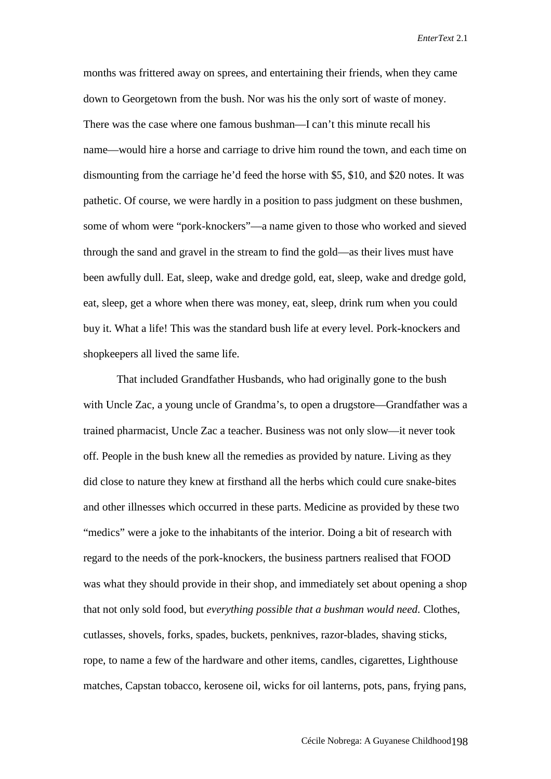months was frittered away on sprees, and entertaining their friends, when they came down to Georgetown from the bush. Nor was his the only sort of waste of money. There was the case where one famous bushman—I can't this minute recall his name—would hire a horse and carriage to drive him round the town, and each time on dismounting from the carriage he'd feed the horse with \$5, \$10, and \$20 notes. It was pathetic. Of course, we were hardly in a position to pass judgment on these bushmen, some of whom were "pork-knockers"—a name given to those who worked and sieved through the sand and gravel in the stream to find the gold—as their lives must have been awfully dull. Eat, sleep, wake and dredge gold, eat, sleep, wake and dredge gold, eat, sleep, get a whore when there was money, eat, sleep, drink rum when you could buy it. What a life! This was the standard bush life at every level. Pork-knockers and shopkeepers all lived the same life.

That included Grandfather Husbands, who had originally gone to the bush with Uncle Zac, a young uncle of Grandma's, to open a drugstore—Grandfather was a trained pharmacist, Uncle Zac a teacher. Business was not only slow—it never took off. People in the bush knew all the remedies as provided by nature. Living as they did close to nature they knew at firsthand all the herbs which could cure snake-bites and other illnesses which occurred in these parts. Medicine as provided by these two "medics" were a joke to the inhabitants of the interior. Doing a bit of research with regard to the needs of the pork-knockers, the business partners realised that FOOD was what they should provide in their shop, and immediately set about opening a shop that not only sold food, but *everything possible that a bushman would need.* Clothes, cutlasses, shovels, forks, spades, buckets, penknives, razor-blades, shaving sticks, rope, to name a few of the hardware and other items, candles, cigarettes, Lighthouse matches, Capstan tobacco, kerosene oil, wicks for oil lanterns, pots, pans, frying pans,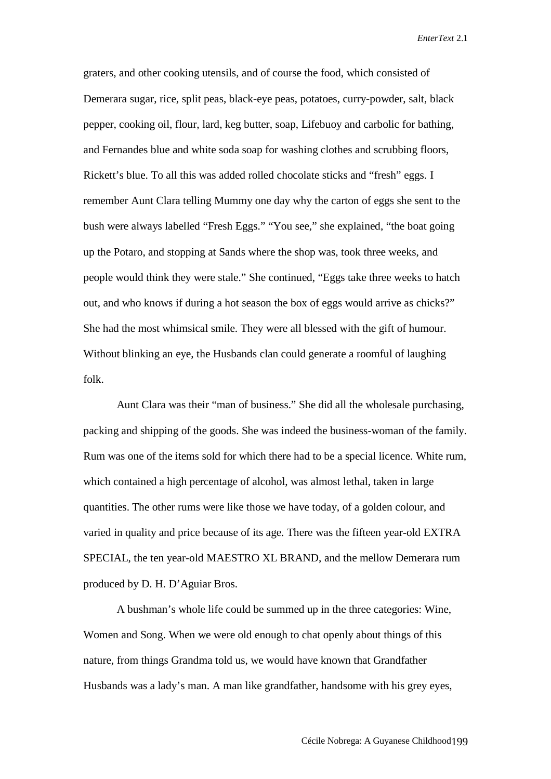graters, and other cooking utensils, and of course the food, which consisted of Demerara sugar, rice, split peas, black-eye peas, potatoes, curry-powder, salt, black pepper, cooking oil, flour, lard, keg butter, soap, Lifebuoy and carbolic for bathing, and Fernandes blue and white soda soap for washing clothes and scrubbing floors, Rickett's blue. To all this was added rolled chocolate sticks and "fresh" eggs. I remember Aunt Clara telling Mummy one day why the carton of eggs she sent to the bush were always labelled "Fresh Eggs." "You see," she explained, "the boat going up the Potaro, and stopping at Sands where the shop was, took three weeks, and people would think they were stale." She continued, "Eggs take three weeks to hatch out, and who knows if during a hot season the box of eggs would arrive as chicks?" She had the most whimsical smile. They were all blessed with the gift of humour. Without blinking an eye, the Husbands clan could generate a roomful of laughing folk.

Aunt Clara was their "man of business." She did all the wholesale purchasing, packing and shipping of the goods. She was indeed the business-woman of the family. Rum was one of the items sold for which there had to be a special licence. White rum, which contained a high percentage of alcohol, was almost lethal, taken in large quantities. The other rums were like those we have today, of a golden colour, and varied in quality and price because of its age. There was the fifteen year-old EXTRA SPECIAL, the ten year-old MAESTRO XL BRAND, and the mellow Demerara rum produced by D. H. D'Aguiar Bros.

A bushman's whole life could be summed up in the three categories: Wine, Women and Song. When we were old enough to chat openly about things of this nature, from things Grandma told us, we would have known that Grandfather Husbands was a lady's man. A man like grandfather, handsome with his grey eyes,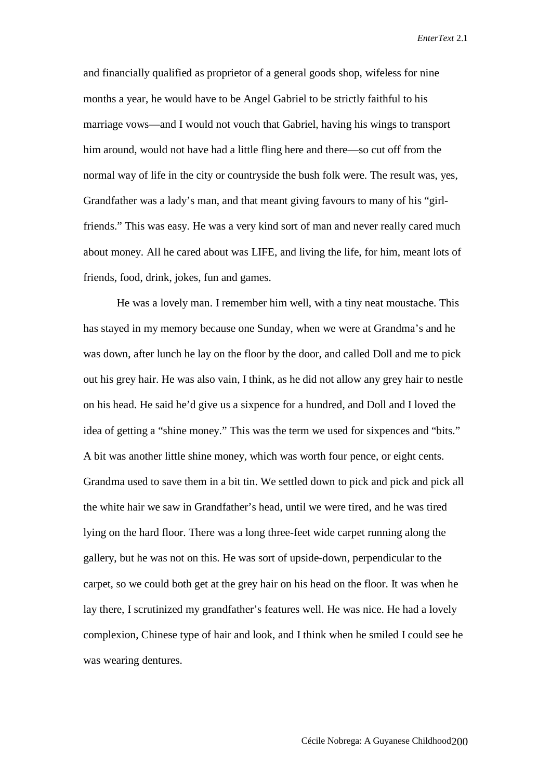and financially qualified as proprietor of a general goods shop, wifeless for nine months a year, he would have to be Angel Gabriel to be strictly faithful to his marriage vows—and I would not vouch that Gabriel, having his wings to transport him around, would not have had a little fling here and there—so cut off from the normal way of life in the city or countryside the bush folk were. The result was, yes, Grandfather was a lady's man, and that meant giving favours to many of his "girlfriends." This was easy. He was a very kind sort of man and never really cared much about money. All he cared about was LIFE, and living the life, for him, meant lots of friends, food, drink, jokes, fun and games.

He was a lovely man. I remember him well, with a tiny neat moustache. This has stayed in my memory because one Sunday, when we were at Grandma's and he was down, after lunch he lay on the floor by the door, and called Doll and me to pick out his grey hair. He was also vain, I think, as he did not allow any grey hair to nestle on his head. He said he'd give us a sixpence for a hundred, and Doll and I loved the idea of getting a "shine money." This was the term we used for sixpences and "bits." A bit was another little shine money, which was worth four pence, or eight cents. Grandma used to save them in a bit tin. We settled down to pick and pick and pick all the white hair we saw in Grandfather's head, until we were tired, and he was tired lying on the hard floor. There was a long three-feet wide carpet running along the gallery, but he was not on this. He was sort of upside-down, perpendicular to the carpet, so we could both get at the grey hair on his head on the floor. It was when he lay there, I scrutinized my grandfather's features well. He was nice. He had a lovely complexion, Chinese type of hair and look, and I think when he smiled I could see he was wearing dentures.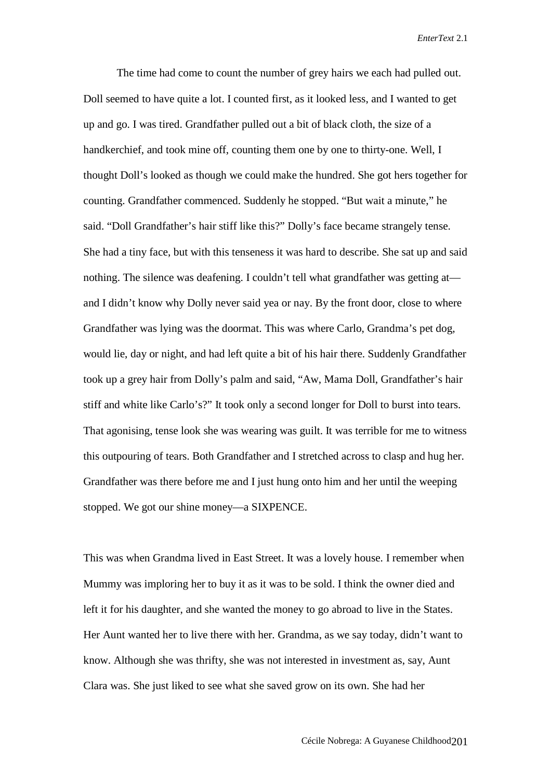The time had come to count the number of grey hairs we each had pulled out. Doll seemed to have quite a lot. I counted first, as it looked less, and I wanted to get up and go. I was tired. Grandfather pulled out a bit of black cloth, the size of a handkerchief, and took mine off, counting them one by one to thirty-one. Well, I thought Doll's looked as though we could make the hundred. She got hers together for counting. Grandfather commenced. Suddenly he stopped. "But wait a minute," he said. "Doll Grandfather's hair stiff like this?" Dolly's face became strangely tense. She had a tiny face, but with this tenseness it was hard to describe. She sat up and said nothing. The silence was deafening. I couldn't tell what grandfather was getting at and I didn't know why Dolly never said yea or nay. By the front door, close to where Grandfather was lying was the doormat. This was where Carlo, Grandma's pet dog, would lie, day or night, and had left quite a bit of his hair there. Suddenly Grandfather took up a grey hair from Dolly's palm and said, "Aw, Mama Doll, Grandfather's hair stiff and white like Carlo's?" It took only a second longer for Doll to burst into tears. That agonising, tense look she was wearing was guilt. It was terrible for me to witness this outpouring of tears. Both Grandfather and I stretched across to clasp and hug her. Grandfather was there before me and I just hung onto him and her until the weeping stopped. We got our shine money—a SIXPENCE.

This was when Grandma lived in East Street. It was a lovely house. I remember when Mummy was imploring her to buy it as it was to be sold. I think the owner died and left it for his daughter, and she wanted the money to go abroad to live in the States. Her Aunt wanted her to live there with her. Grandma, as we say today, didn't want to know. Although she was thrifty, she was not interested in investment as, say, Aunt Clara was. She just liked to see what she saved grow on its own. She had her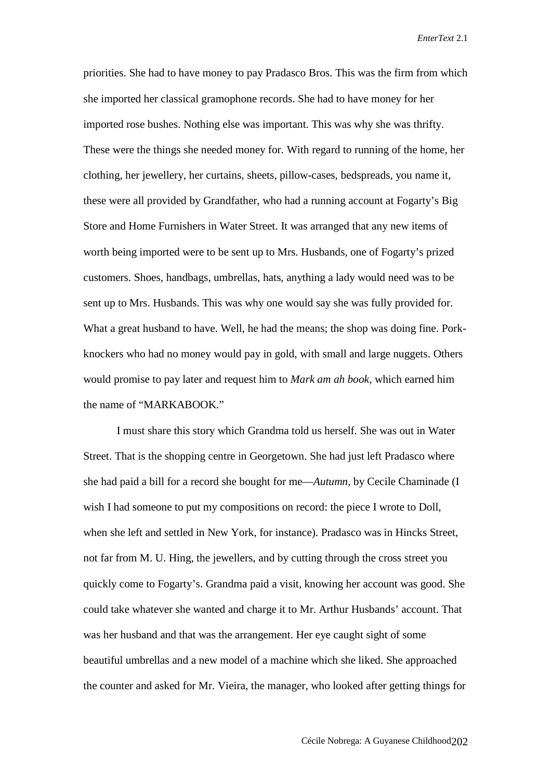priorities. She had to have money to pay Pradasco Bros. This was the firm from which she imported her classical gramophone records. She had to have money for her imported rose bushes. Nothing else was important. This was why she was thrifty. These were the things she needed money for. With regard to running of the home, her clothing, her jewellery, her curtains, sheets, pillow-cases, bedspreads, you name it, these were all provided by Grandfather, who had a running account at Fogarty's Big Store and Home Furnishers in Water Street. It was arranged that any new items of worth being imported were to be sent up to Mrs. Husbands, one of Fogarty's prized customers. Shoes, handbags, umbrellas, hats, anything a lady would need was to be sent up to Mrs. Husbands. This was why one would say she was fully provided for. What a great husband to have. Well, he had the means; the shop was doing fine. Porkknockers who had no money would pay in gold, with small and large nuggets. Others would promise to pay later and request him to *Mark am ah book,* which earned him the name of "MARKABOOK."

I must share this story which Grandma told us herself. She was out in Water Street. That is the shopping centre in Georgetown. She had just left Pradasco where she had paid a bill for a record she bought for me—*Autumn,* by Cecile Chaminade (I wish I had someone to put my compositions on record: the piece I wrote to Doll, when she left and settled in New York, for instance). Pradasco was in Hincks Street, not far from M. U. Hing, the jewellers, and by cutting through the cross street you quickly come to Fogarty's. Grandma paid a visit, knowing her account was good. She could take whatever she wanted and charge it to Mr. Arthur Husbands' account. That was her husband and that was the arrangement. Her eye caught sight of some beautiful umbrellas and a new model of a machine which she liked. She approached the counter and asked for Mr. Vieira, the manager, who looked after getting things for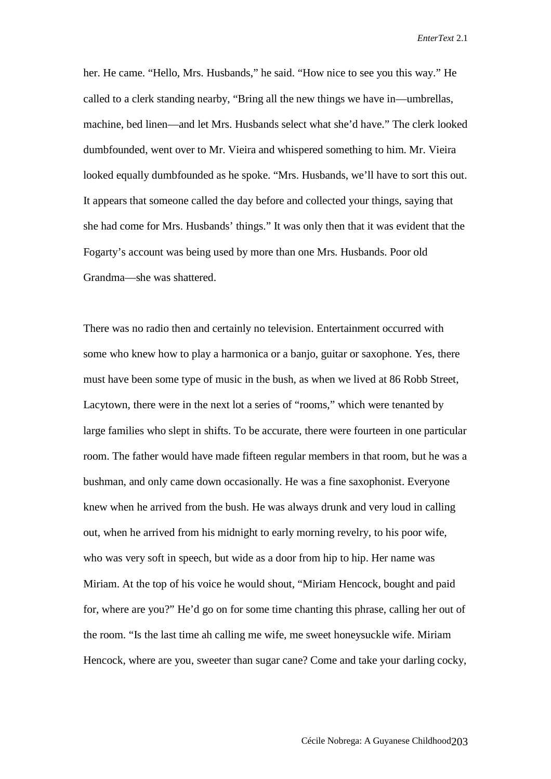her. He came. "Hello, Mrs. Husbands," he said. "How nice to see you this way." He called to a clerk standing nearby, "Bring all the new things we have in—umbrellas, machine, bed linen—and let Mrs. Husbands select what she'd have." The clerk looked dumbfounded, went over to Mr. Vieira and whispered something to him. Mr. Vieira looked equally dumbfounded as he spoke. "Mrs. Husbands, we'll have to sort this out. It appears that someone called the day before and collected your things, saying that she had come for Mrs. Husbands' things." It was only then that it was evident that the Fogarty's account was being used by more than one Mrs. Husbands. Poor old Grandma—she was shattered.

There was no radio then and certainly no television. Entertainment occurred with some who knew how to play a harmonica or a banjo, guitar or saxophone. Yes, there must have been some type of music in the bush, as when we lived at 86 Robb Street, Lacytown, there were in the next lot a series of "rooms," which were tenanted by large families who slept in shifts. To be accurate, there were fourteen in one particular room. The father would have made fifteen regular members in that room, but he was a bushman, and only came down occasionally. He was a fine saxophonist. Everyone knew when he arrived from the bush. He was always drunk and very loud in calling out, when he arrived from his midnight to early morning revelry, to his poor wife, who was very soft in speech, but wide as a door from hip to hip. Her name was Miriam. At the top of his voice he would shout, "Miriam Hencock, bought and paid for, where are you?" He'd go on for some time chanting this phrase, calling her out of the room. "Is the last time ah calling me wife, me sweet honeysuckle wife. Miriam Hencock, where are you, sweeter than sugar cane? Come and take your darling cocky,